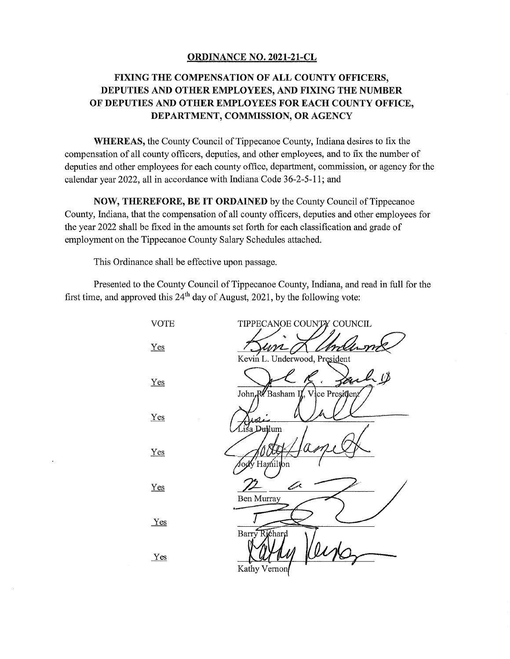## **ORDINANCE** NO. **2021-g1-CL**

## **FIXING** THE **COMPENSATION** OF ALL COUNTY **OFFICERS, DEPUTIES** AND **OTHER EMPLOYEES,** AND **FIXING** THE **NUMBER**  OF **DEPUTIES** AND **OTHER EMPLOYEES** FOR **EACH COUNTY OFFICE, DEPARTMENT, COMMISSION,** OR **AGENCY**

**WHEREAS,** the County Council of Tippecanoe County, Indiana desires to fix the compensation of all county officers, deputies, and other employees, and to fix the number of deputies and other employees for each county office, department, commission, or agency for the calendar year 2022, all in accordance with Indiana Code 36-2-5-11; and

**NOW, THEREFORE,** BE IT **ORDAINED** by the County Council of Tippecanoe County, Indiana, that the compensation of all county officers, deputies and other employees for the year 2022 shall be fixed in the amounts set forth for each classification and grade of employment on the Tippecanoe County Salary Schedules attached.

**This** Ordinance shall be effective upon passage.

Presented to the County Council of Tippecanoe County, Indiana, and read in full for the first time, and approved this  $24<sup>th</sup>$  day of August, 2021, by the following vote:

VOTE TIPPECANOE COUNTY COUNCIL  $Yes$  $\ell\mathcal{W}$ [AVc. Kevin L. Underwood, President  $Yes$ ReBasham I ce President John  $Yes$ Hamed  $Yes$ 'Hamilton " **Yes** Ben Murray <u>Yes</u> Barry Richard  $Yes$ **Kathy Vernon**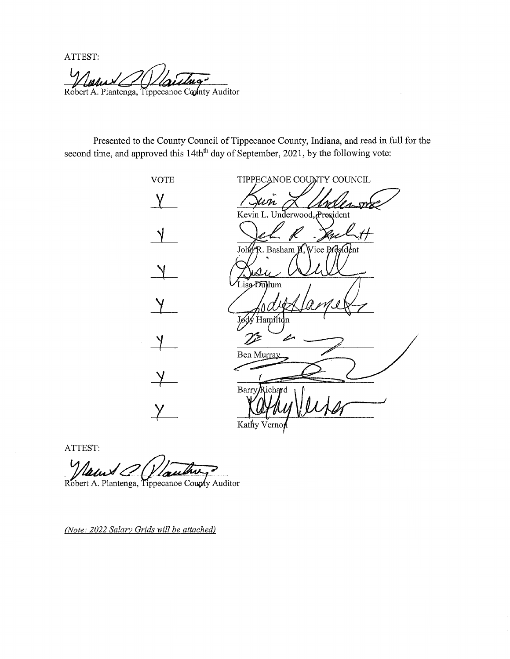ATTEST:

ariba 18 An A .J Robert A. Plantenga, Tippecanoe County Auditor

Presented to the County Council of Tippecanoe County, Indiana, and read in full for the second time, and approved this 14th<sup>th</sup> day of September, 2021, by the following vote:

**VOTE** TIPPECANOE COUNTY COUNCIL  $\mathsf{V}$ <u>Court Malla</u> John R. Basham I, Vice President Lisa-Dullum Jødy Hamilton li Ben Murray BarryRichard Kathy Vernor

**ATTEST:** 

<u>W</u> /W.L

Robert A. Plantenga, Tippecanoe Coupty Auditor

*(Note: 2022 Salary Grids will* be *attached)*